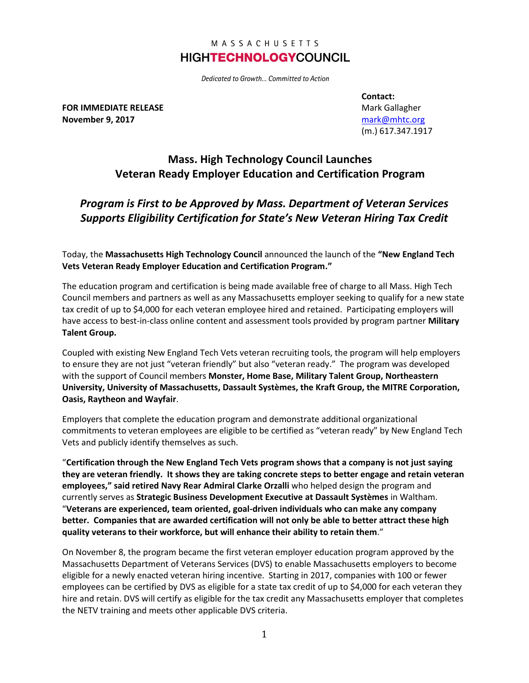### MASSACHUSETTS **HIGHTECHNOLOGYCOUNCIL**

Dedicated to Growth... Committed to Action

**FOR IMMEDIATE RELEASE November 9, 2017**

**Contact:** Mark Gallagher [mark@mhtc.org](mailto:mark@mhtc.org) (m.) 617.347.1917

# **Mass. High Technology Council Launches Veteran Ready Employer Education and Certification Program**

## *Program is First to be Approved by Mass. Department of Veteran Services Supports Eligibility Certification for State's New Veteran Hiring Tax Credit*

Today, the **Massachusetts High Technology Council** announced the launch of the **"New England Tech Vets Veteran Ready Employer Education and Certification Program."**

The education program and certification is being made available free of charge to all Mass. High Tech Council members and partners as well as any Massachusetts employer seeking to qualify for a new state tax credit of up to \$4,000 for each veteran employee hired and retained. Participating employers will have access to best-in-class online content and assessment tools provided by program partner **Military Talent Group.**

Coupled with existing New England Tech Vets veteran recruiting tools, the program will help employers to ensure they are not just "veteran friendly" but also "veteran ready." The program was developed with the support of Council members **Monster, Home Base, Military Talent Group, Northeastern University, University of Massachusetts, Dassault Systèmes, the Kraft Group, the MITRE Corporation, Oasis, Raytheon and Wayfair**.

Employers that complete the education program and demonstrate additional organizational commitments to veteran employees are eligible to be certified as "veteran ready" by New England Tech Vets and publicly identify themselves as such.

"**Certification through the New England Tech Vets program shows that a company is not just saying they are veteran friendly. It shows they are taking concrete steps to better engage and retain veteran employees," said retired Navy Rear Admiral Clarke Orzalli** who helped design the program and currently serves as **Strategic Business Development Executive at Dassault Systèmes** in Waltham. "**Veterans are experienced, team oriented, goal-driven individuals who can make any company better. Companies that are awarded certification will not only be able to better attract these high quality veterans to their workforce, but will enhance their ability to retain them**."

On November 8, the program became the first veteran employer education program approved by the Massachusetts Department of Veterans Services (DVS) to enable Massachusetts employers to become eligible for a newly enacted veteran hiring incentive. Starting in 2017, companies with 100 or fewer employees can be certified by DVS as eligible for a state tax credit of up to \$4,000 for each veteran they hire and retain. DVS will certify as eligible for the tax credit any Massachusetts employer that completes the NETV training and meets other applicable DVS criteria.